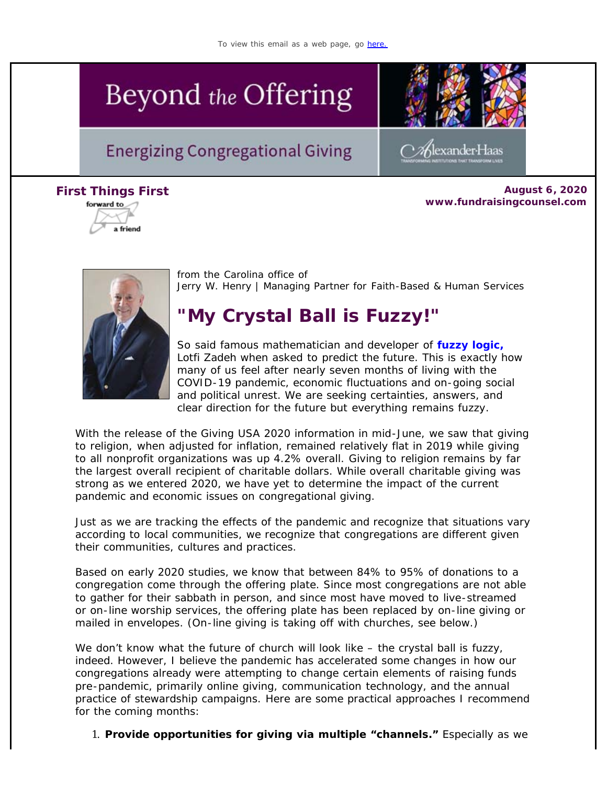# Beyond the Offering

### **Energizing Congregational Giving**



Slexander Haas

### **Firs[t Things](https://view.exacttarget.com/ftaf.aspx?qs=8cfadb7cc37286d6eb954f6f8f0afd7ecde65a7022c118b88ef26d4f62583dfb7f8baa7aeabd02b16f69c4800580decf234b5e9d033559e3)** *First* **August 6, 2020 www.fundraisingcounsel.com**





from the Carolina office of *Jerry W. Henry* | Managing Partner for Faith-Based & Human Services

## **"My Crystal Ball is Fuzzy!"**

So said famous mathematician and developer of **[fuzzy logic,](https://cl.exct.net/?qs=5e9ccdd952b2fd9dc215fa5887c83d99e0573694c0b4b9a35eaed10151b545dcdb4071a2b3bf1db65586811f70ce719b)** Lotfi Zadeh when asked to predict the future. This is exactly how many of us feel after nearly seven months of living with the COVID-19 pandemic, economic fluctuations and on-going social and political unrest. We are seeking certainties, answers, and clear direction for the future but everything remains *fuzzy*.

With the release of the *Giving USA 2020* information in mid-June, we saw that giving to religion, when adjusted for inflation, remained relatively flat in 2019 while giving to all nonprofit organizations was up 4.2% overall. Giving to religion remains by far the largest overall recipient of charitable dollars. While overall charitable giving was strong as we entered 2020, we have yet to determine the impact of the current pandemic and economic issues on congregational giving.

Just as we are tracking the effects of the pandemic and recognize that situations vary according to local communities, we recognize that congregations are different given their communities, cultures and practices.

Based on early 2020 studies, we know that between 84% to 95% of donations to a congregation come through the offering plate. Since most congregations are not able to gather for their sabbath in person, and since most have moved to live-streamed or on-line worship services, *the offering plate* has been replaced by on-line giving or mailed in envelopes. (On-line giving is taking off with churches, see below.)

We don't know what the future of church will look like – the crystal ball is fuzzy, indeed. However, I believe the pandemic has accelerated some changes in how our congregations already were attempting to change certain elements of raising funds pre-pandemic, primarily online giving, communication technology, and the annual practice of *stewardship campaigns.* Here are some practical approaches I recommend for the coming months:

1. **Provide opportunities for giving via multiple "channels."** Especially as we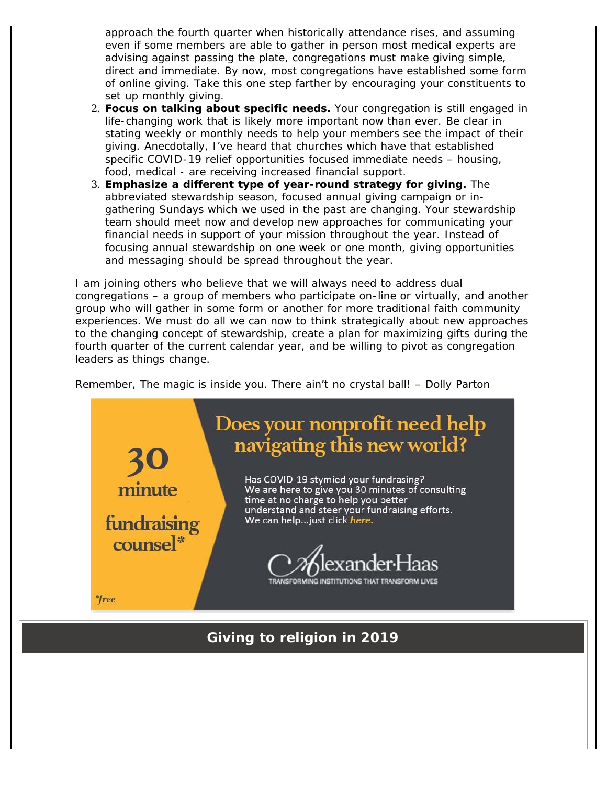approach the fourth quarter when historically attendance rises, and assuming even if some members are able to gather in person most medical experts are advising against passing the plate, congregations must make giving simple, direct and immediate. By now, most congregations have established some form of online giving. Take this one step farther by encouraging your constituents to set up monthly giving.

- 2. **Focus on talking about specific needs.** Your congregation is still engaged in life-changing work that is likely more important now than ever. Be clear in stating weekly or monthly needs to help your members see the impact of their giving. Anecdotally, I've heard that churches which have that established specific COVID-19 relief opportunities focused immediate needs – housing, food, medical - are receiving increased financial support.
- 3. **Emphasize a different type of year-round strategy for giving.** The abbreviated stewardship season, focused annual giving campaign or ingathering Sundays which we used in the past are changing. Your stewardship team should meet now and develop new approaches for communicating your financial needs in support of your mission throughout the year. Instead of focusing annual stewardship on one week or one month, giving opportunities and messaging should be spread throughout the year.

I am joining others who believe that we will always need to address *dual congregations* – a group of members who participate on-line or *virtually,* and another group who will gather in some form or another for more traditional faith community experiences. We must do all we can now to think strategically about new approaches to the changing concept of stewardship, create a plan for maximizing gifts during the fourth quarter of the current calendar year, and be willing to pivot as congregation leaders as things change.

Remember, *The magic is inside you. There ain't no crystal ball!* – Dolly Parton



**Giving to religion in 2019**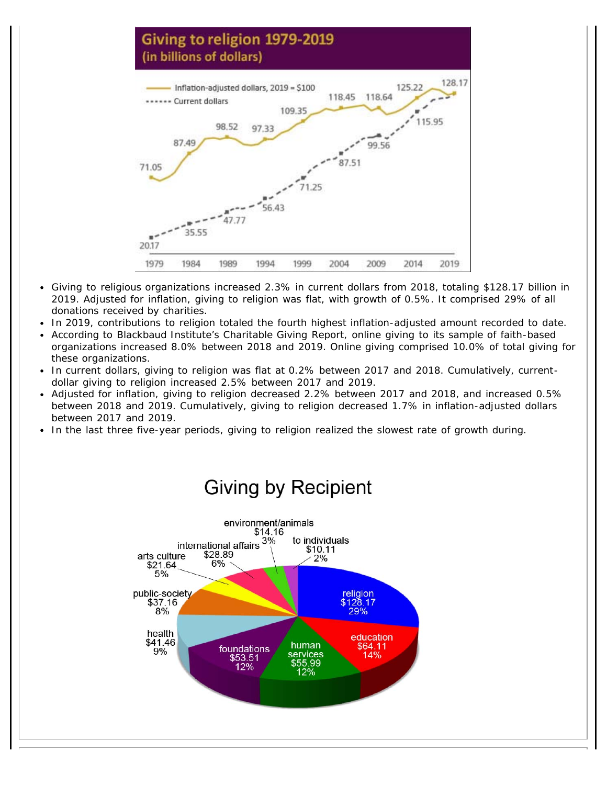

- Giving to religious organizations increased 2.3% in current dollars from 2018, totaling \$128.17 billion in 2019. Adjusted for inflation, giving to religion was flat, with growth of 0.5%. It comprised 29% of all donations received by charities.
- In 2019, contributions to religion totaled the fourth highest inflation-adjusted amount recorded to date.
- According to Blackbaud Institute's Charitable Giving Report, online giving to its sample of faith-based organizations increased 8.0% between 2018 and 2019. Online giving comprised 10.0% of total giving for these organizations.
- In current dollars, giving to religion was flat at 0.2% between 2017 and 2018. Cumulatively, currentdollar giving to religion increased 2.5% between 2017 and 2019.
- Adjusted for inflation, giving to religion decreased 2.2% between 2017 and 2018, and increased 0.5% between 2018 and 2019. Cumulatively, giving to religion decreased 1.7% in inflation-adjusted dollars between 2017 and 2019.
- In the last three five-year periods, giving to religion realized the slowest rate of growth during.

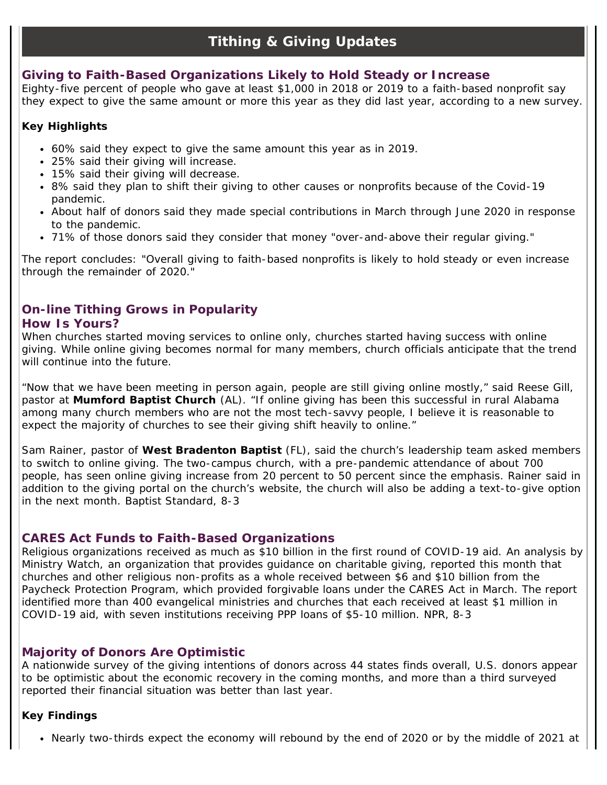### **Tithing & Giving Updates**

#### **Giving to Faith-Based Organizations Likely to Hold Steady or Increase**

Eighty-five percent of people who gave at least \$1,000 in 2018 or 2019 to a faith-based nonprofit say they expect to give the same amount or more this year as they did last year, according to a new survey.

#### **Key Highlights**

- 60% said they expect to give the same amount this year as in 2019.
- 25% said their giving will increase.
- 15% said their giving will decrease.
- 8% said they plan to shift their giving to other causes or nonprofits because of the Covid-19 pandemic.
- About half of donors said they made special contributions in March through June 2020 in response to the pandemic.
- 71% of those donors said they consider that money "over-and-above their regular giving."

The report concludes: "Overall giving to faith-based nonprofits is likely to hold steady or even increase through the remainder of 2020."

#### **On-line Tithing Grows in Popularity How Is Yours?**

When churches started moving services to online only, churches started having success with online giving. While online giving becomes normal for many members, church officials anticipate that the trend will continue into the future.

"Now that we have been meeting in person again, people are still giving online mostly," said Reese Gill, pastor at **Mumford Baptist Church** (AL). "If online giving has been this successful in rural Alabama among many church members who are not the most tech-savvy people, I believe it is reasonable to expect the majority of churches to see their giving shift heavily to online."

Sam Rainer, pastor of **West Bradenton Baptist** (FL), said the church's leadership team asked members to switch to online giving. The two-campus church, with a pre-pandemic attendance of about 700 people, has seen online giving increase from 20 percent to 50 percent since the emphasis. Rainer said in addition to the giving portal on the church's website, the church will also be adding a text-to-give option in the next month. *Baptist Standard, 8-3*

#### **CARES Act Funds to Faith-Based Organizations**

Religious organizations received as much as \$10 billion in the first round of COVID-19 aid. An analysis by *Ministry Watch,* an organization that provides guidance on charitable giving, reported this month that churches and other religious non-profits as a whole received between \$6 and \$10 billion from the Paycheck Protection Program, which provided forgivable loans under the CARES Act in March. The report identified more than 400 evangelical ministries and churches that each received at least \$1 million in COVID-19 aid, with seven institutions receiving PPP loans of \$5-10 million. *NPR, 8-3*

#### **Majority of Donors Are Optimistic**

A nationwide survey of the giving intentions of donors across 44 states finds overall, U.S. donors appear to be optimistic about the economic recovery in the coming months, and more than a third surveyed reported their financial situation was better than last year.

#### **Key Findings**

Nearly two-thirds expect the economy will rebound by the end of 2020 or by the middle of 2021 at